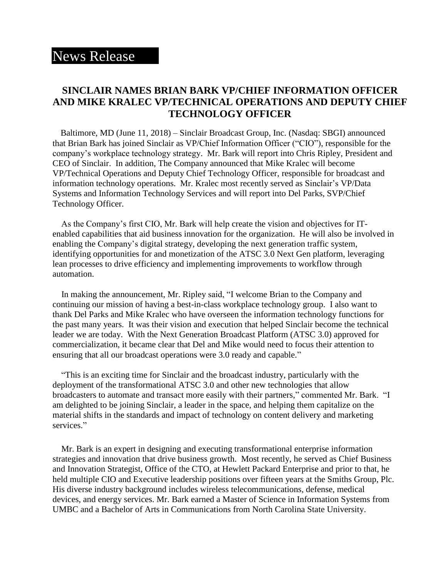## News Release

## **SINCLAIR NAMES BRIAN BARK VP/CHIEF INFORMATION OFFICER AND MIKE KRALEC VP/TECHNICAL OPERATIONS AND DEPUTY CHIEF TECHNOLOGY OFFICER**

 Baltimore, MD (June 11, 2018) – Sinclair Broadcast Group, Inc. (Nasdaq: SBGI) announced that Brian Bark has joined Sinclair as VP/Chief Information Officer ("CIO"), responsible for the company's workplace technology strategy. Mr. Bark will report into Chris Ripley, President and CEO of Sinclair. In addition, The Company announced that Mike Kralec will become VP/Technical Operations and Deputy Chief Technology Officer, responsible for broadcast and information technology operations. Mr. Kralec most recently served as Sinclair's VP/Data Systems and Information Technology Services and will report into Del Parks, SVP/Chief Technology Officer.

 As the Company's first CIO, Mr. Bark will help create the vision and objectives for ITenabled capabilities that aid business innovation for the organization. He will also be involved in enabling the Company's digital strategy, developing the next generation traffic system, identifying opportunities for and monetization of the ATSC 3.0 Next Gen platform, leveraging lean processes to drive efficiency and implementing improvements to workflow through automation.

In making the announcement, Mr. Ripley said, "I welcome Brian to the Company and continuing our mission of having a best-in-class workplace technology group. I also want to thank Del Parks and Mike Kralec who have overseen the information technology functions for the past many years. It was their vision and execution that helped Sinclair become the technical leader we are today. With the Next Generation Broadcast Platform (ATSC 3.0) approved for commercialization, it became clear that Del and Mike would need to focus their attention to ensuring that all our broadcast operations were 3.0 ready and capable."

"This is an exciting time for Sinclair and the broadcast industry, particularly with the deployment of the transformational ATSC 3.0 and other new technologies that allow broadcasters to automate and transact more easily with their partners," commented Mr. Bark. "I am delighted to be joining Sinclair, a leader in the space, and helping them capitalize on the material shifts in the standards and impact of technology on content delivery and marketing services."

 Mr. Bark is an expert in designing and executing transformational enterprise information strategies and innovation that drive business growth. Most recently, he served as Chief Business and Innovation Strategist, Office of the CTO, at Hewlett Packard Enterprise and prior to that, he held multiple CIO and Executive leadership positions over fifteen years at the Smiths Group, Plc. His diverse industry background includes wireless telecommunications, defense, medical devices, and energy services. Mr. Bark earned a Master of Science in Information Systems from UMBC and a Bachelor of Arts in Communications from North Carolina State University.